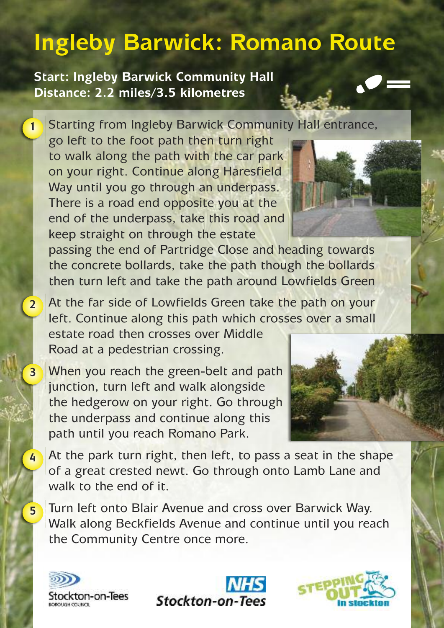## **Ingleby Barwick: Romano Route**

**Start: Ingleby Barwick Community Hall Distance: 2.2 miles/3.5 kilometres**

Starting from Ingleby Barwick Community Hall entrance, **1**

go left to the foot path then turn right to walk along the path with the car park on your right. Continue along Haresfield Way until you go through an underpass. There is a road end opposite you at the end of the underpass, take this road and keep straight on through the estate

passing the end of Partridge Close and heading towards the concrete bollards, take the path though the bollards then turn left and take the path around Lowfields Green

- At the far side of Lowfields Green take the path on your left. Continue along this path which crosses over a small estate road then crosses over Middle Road at a pedestrian crossing. **2**
- When you reach the green-belt and path junction, turn left and walk alongside the hedgerow on your right. Go through the underpass and continue along this path until you reach Romano Park. **3**

At the park turn right, then left, to pass a seat in the shape of a great crested newt. Go through onto Lamb Lane and walk to the end of it.

Turn left onto Blair Avenue and cross over Barwick Way. Walk along Beckfields Avenue and continue until you reach the Community Centre once more.



**4**

**5**